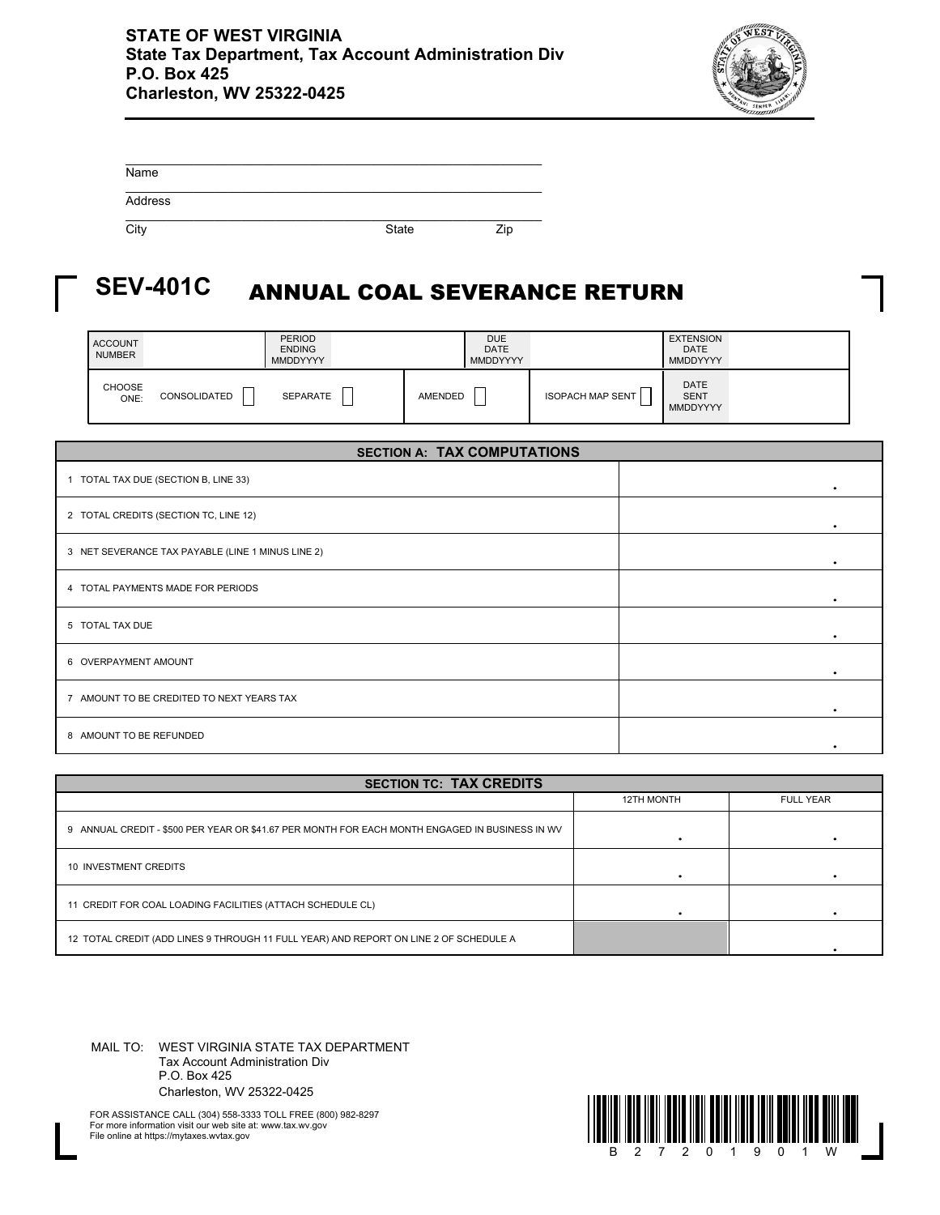

| Name    |              |     |
|---------|--------------|-----|
| Address |              |     |
| City    | <b>State</b> | Zip |

## ANNUAL COAL SEVERANCE RETURN **SEV-401C**

| <b>ACCOUNT</b><br><b>NUMBER</b> |              | <b>PERIOD</b><br><b>ENDING</b><br><b>MMDDYYYY</b> |         | DUE<br><b>DATE</b><br><b>MMDDYYYY</b> |                         | <b>EXTENSION</b><br><b>DATE</b><br>MMDDYYYY |  |
|---------------------------------|--------------|---------------------------------------------------|---------|---------------------------------------|-------------------------|---------------------------------------------|--|
| CHOOSE<br>ONE:                  | CONSOLIDATED | SEPARATE                                          | AMENDED |                                       | <b>ISOPACH MAP SENT</b> | <b>DATE</b><br><b>SENT</b><br>MMDDYYYY      |  |

| <b>SECTION A: TAX COMPUTATIONS</b>                |   |  |  |  |  |
|---------------------------------------------------|---|--|--|--|--|
| 1 TOTAL TAX DUE (SECTION B, LINE 33)              | ٠ |  |  |  |  |
| 2 TOTAL CREDITS (SECTION TC, LINE 12)             |   |  |  |  |  |
| 3 NET SEVERANCE TAX PAYABLE (LINE 1 MINUS LINE 2) |   |  |  |  |  |
| 4 TOTAL PAYMENTS MADE FOR PERIODS                 |   |  |  |  |  |
| 5 TOTAL TAX DUE                                   |   |  |  |  |  |
| 6 OVERPAYMENT AMOUNT                              |   |  |  |  |  |
| 7 AMOUNT TO BE CREDITED TO NEXT YEARS TAX         |   |  |  |  |  |
| 8 AMOUNT TO BE REFUNDED                           |   |  |  |  |  |

| <b>SECTION TC: TAX CREDITS</b>                                                                 |                   |                  |  |  |  |  |  |
|------------------------------------------------------------------------------------------------|-------------------|------------------|--|--|--|--|--|
|                                                                                                | <b>12TH MONTH</b> | <b>FULL YEAR</b> |  |  |  |  |  |
| 9 ANNUAL CREDIT - \$500 PER YEAR OR \$41.67 PER MONTH FOR EACH MONTH ENGAGED IN BUSINESS IN WV |                   |                  |  |  |  |  |  |
| 10 INVESTMENT CREDITS                                                                          |                   |                  |  |  |  |  |  |
| 11 CREDIT FOR COAL LOADING FACILITIES (ATTACH SCHEDULE CL)                                     |                   |                  |  |  |  |  |  |
| 12 TOTAL CREDIT (ADD LINES 9 THROUGH 11 FULL YEAR) AND REPORT ON LINE 2 OF SCHEDULE A          |                   |                  |  |  |  |  |  |

MAIL TO: WEST VIRGINIA STATE TAX DEPARTMENT Tax Account Administration Div P.O. Box 425 Charleston, WV 25322-0425



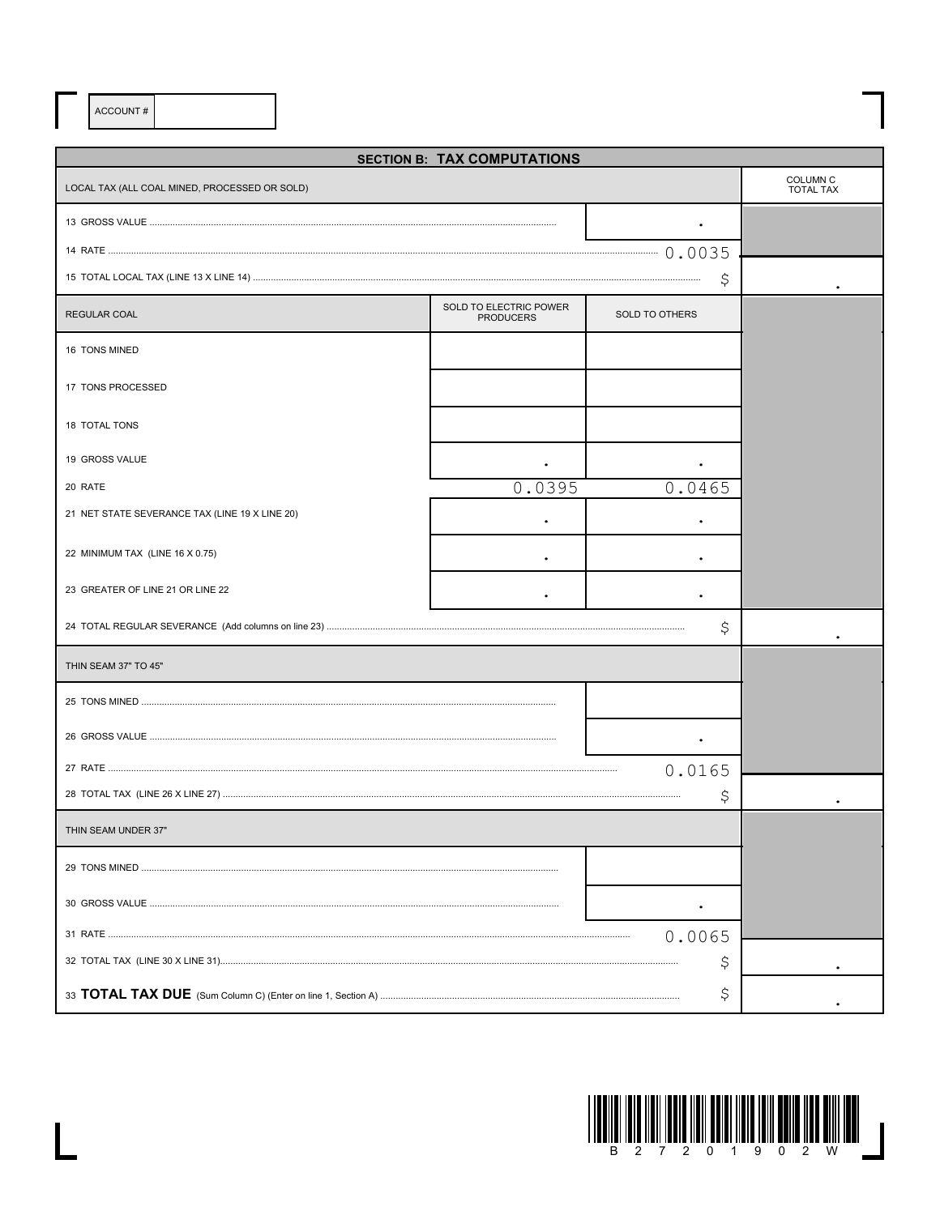ACCOUNT#

 $\overline{\mathsf{L}}$ 

| <b>SECTION B: TAX COMPUTATIONS</b>             |                                            |                |                                     |  |  |  |  |
|------------------------------------------------|--------------------------------------------|----------------|-------------------------------------|--|--|--|--|
| LOCAL TAX (ALL COAL MINED, PROCESSED OR SOLD)  |                                            |                | <b>COLUMN C</b><br><b>TOTAL TAX</b> |  |  |  |  |
|                                                |                                            |                |                                     |  |  |  |  |
|                                                |                                            |                |                                     |  |  |  |  |
|                                                |                                            |                |                                     |  |  |  |  |
| <b>REGULAR COAL</b>                            | SOLD TO ELECTRIC POWER<br><b>PRODUCERS</b> | SOLD TO OTHERS |                                     |  |  |  |  |
| 16 TONS MINED                                  |                                            |                |                                     |  |  |  |  |
| 17 TONS PROCESSED                              |                                            |                |                                     |  |  |  |  |
| 18 TOTAL TONS                                  |                                            |                |                                     |  |  |  |  |
| 19 GROSS VALUE                                 |                                            |                |                                     |  |  |  |  |
| 20 RATE                                        | 0.0395                                     | 0.0465         |                                     |  |  |  |  |
| 21 NET STATE SEVERANCE TAX (LINE 19 X LINE 20) |                                            |                |                                     |  |  |  |  |
| 22 MINIMUM TAX (LINE 16 X 0.75)                |                                            |                |                                     |  |  |  |  |
| 23 GREATER OF LINE 21 OR LINE 22               |                                            |                |                                     |  |  |  |  |
|                                                | \$                                         |                |                                     |  |  |  |  |
| THIN SEAM 37" TO 45"                           |                                            |                |                                     |  |  |  |  |
|                                                |                                            |                |                                     |  |  |  |  |
|                                                |                                            |                |                                     |  |  |  |  |
|                                                |                                            | 0.0165         |                                     |  |  |  |  |
|                                                |                                            | Ş              |                                     |  |  |  |  |
| THIN SEAM UNDER 37"                            |                                            |                |                                     |  |  |  |  |
|                                                |                                            |                |                                     |  |  |  |  |
|                                                |                                            |                |                                     |  |  |  |  |
|                                                | 0.0065                                     |                |                                     |  |  |  |  |
|                                                |                                            |                |                                     |  |  |  |  |
|                                                | \$                                         |                |                                     |  |  |  |  |

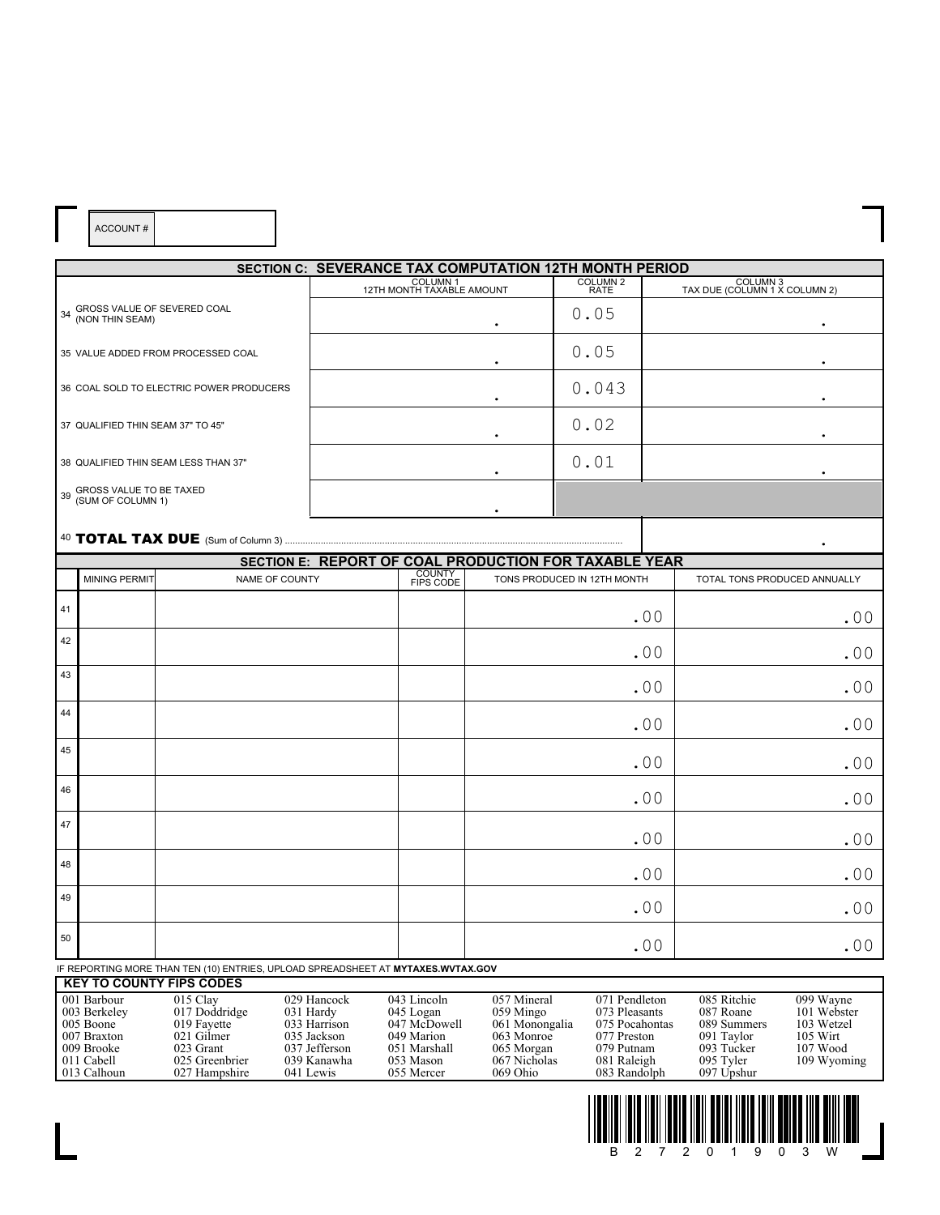|    |                                              |                                                                                  |             |                                       |             | SECTION C: SEVERANCE TAX COMPUTATION 12TH MONTH PERIOD |             |                                           |
|----|----------------------------------------------|----------------------------------------------------------------------------------|-------------|---------------------------------------|-------------|--------------------------------------------------------|-------------|-------------------------------------------|
|    |                                              |                                                                                  |             | COLUMN 1<br>12TH MONTH TAXABLE AMOUNT |             | COLUMN 2<br>RATE                                       |             | COLUMN 3<br>TAX DUE (COLUMN 1 X COLUMN 2) |
|    |                                              | 34 GROSS VALUE OF SEVERED COAL<br>(NON THIN SEAM)                                |             |                                       |             | 0.05                                                   |             |                                           |
|    |                                              | 35 VALUE ADDED FROM PROCESSED COAL                                               |             |                                       |             | 0.05                                                   |             |                                           |
|    |                                              | 36 COAL SOLD TO ELECTRIC POWER PRODUCERS                                         |             |                                       |             | 0.043                                                  |             |                                           |
|    | 37 QUALIFIED THIN SEAM 37" TO 45"            |                                                                                  |             |                                       |             | 0.02                                                   |             |                                           |
|    |                                              | 38 QUALIFIED THIN SEAM LESS THAN 37"                                             |             |                                       |             | 0.01                                                   |             |                                           |
| 39 | GROSS VALUE TO BE TAXED<br>(SUM OF COLUMN 1) |                                                                                  |             |                                       |             |                                                        |             |                                           |
|    |                                              |                                                                                  |             |                                       |             |                                                        |             |                                           |
|    |                                              |                                                                                  |             |                                       |             | SECTION E: REPORT OF COAL PRODUCTION FOR TAXABLE YEAR  |             |                                           |
|    | <b>MINING PERMIT</b>                         | NAME OF COUNTY                                                                   |             | COUNTY<br>FIPS CODE                   |             | TONS PRODUCED IN 12TH MONTH                            |             | TOTAL TONS PRODUCED ANNUALLY              |
| 41 |                                              |                                                                                  |             |                                       |             |                                                        | .00         | .00                                       |
| 42 |                                              |                                                                                  |             |                                       |             |                                                        | .00         | .00                                       |
| 43 |                                              |                                                                                  |             |                                       |             |                                                        | .00         | .00                                       |
| 44 |                                              |                                                                                  |             |                                       |             |                                                        | .00         | .00                                       |
|    |                                              |                                                                                  |             |                                       |             |                                                        |             |                                           |
| 45 |                                              |                                                                                  |             |                                       |             |                                                        | .00         | .00                                       |
| 46 |                                              |                                                                                  |             |                                       |             |                                                        | .00         | .00                                       |
| 47 |                                              |                                                                                  |             |                                       |             |                                                        | .00         | .00                                       |
| 48 |                                              |                                                                                  |             |                                       |             |                                                        | .00         | .00                                       |
| 49 |                                              |                                                                                  |             |                                       |             |                                                        | .00         | .00                                       |
| 50 |                                              |                                                                                  |             |                                       |             |                                                        | .00         | .00                                       |
|    |                                              | IF REPORTING MORE THAN TEN (10) ENTRIES, UPLOAD SPREADSHEET AT MYTAXES.WVTAX.GOV |             |                                       |             |                                                        |             |                                           |
|    |                                              | <b>KEY TO COUNTY FIPS CODES</b>                                                  |             |                                       |             |                                                        |             |                                           |
|    | 001 Barbour                                  | 015 Clay                                                                         | 029 Hancock | 043 Lincoln                           | 057 Mineral | 071 Pendleton                                          | 085 Ritchie | 099 Wayne                                 |

ACCOUNT #

 $\overline{\mathsf{L}}$ 

| 001 Barbour  | $015$ Clay     | 029 Hancock   | $043$ Lincoln | 057 Mineral    | 071 Pendleton  | 085 Ritchie | 099 Wavne   |
|--------------|----------------|---------------|---------------|----------------|----------------|-------------|-------------|
| 003 Berkeley | 017 Doddridge  | 031 Hardy     | 045 Logan     | 059 Mingo      | 073 Pleasants  | 087 Roane   | 101 Webster |
| 005 Boone    | 019 Favette    | 033 Harrison  | 047 McDowell  | 061 Monongalia | 075 Pocahontas | 089 Summers | 103 Wetzel  |
| 007 Braxton  | 021 Gilmer     | 035 Jackson   | 049 Marion    | 063 Monroe     | 077 Preston    | 091 Taylor  | $105$ Wirt  |
| 009 Brooke   | 023 Grant      | 037 Jefferson | 051 Marshall  | 065 Morgan     | 079 Putnam     | 093 Tucker  | $107$ Wood  |
| 011 Cabell   | 025 Greenbrier | 039 Kanawha   | 053 Mason     | 067 Nicholas   | 081 Raleigh    | 095 Tyler   | 109 Wyoming |
| 013 Calhoun  | 027 Hampshire  | 041 Lewis     | 055 Mercer    | $069$ Ohio     | 083 Randolph   | 097 Upshur  |             |